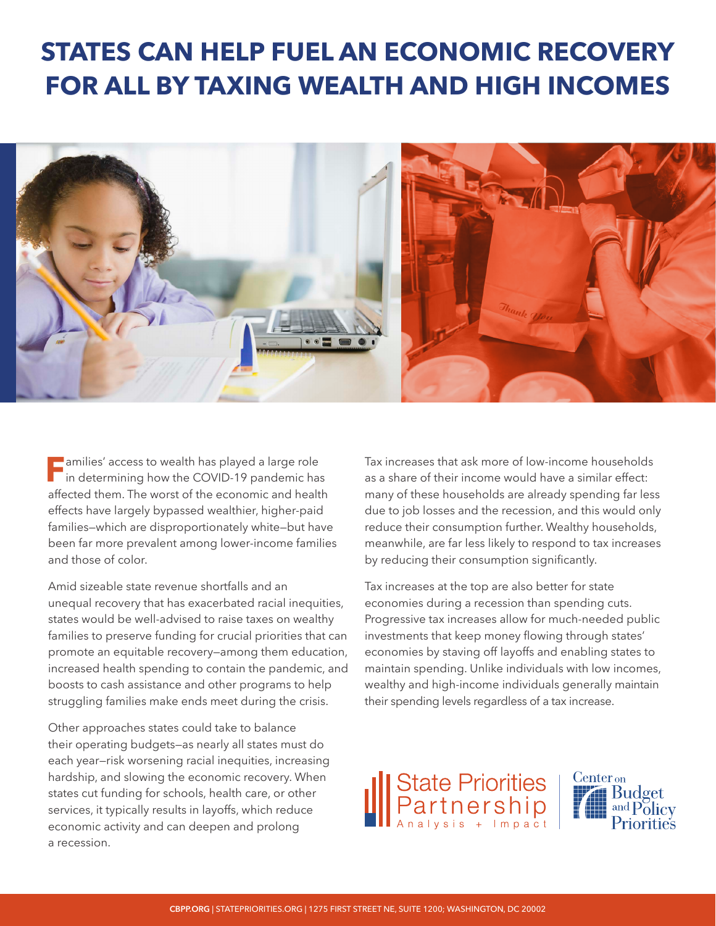## **STATES CAN HELP FUEL AN ECONOMIC RECOVERY FOR ALL BY TAXING WEALTH AND HIGH INCOMES**



**Families' access to wealth has played a large role**<br>in determining how the COVID-19 pandemic has affected them. The worst of the economic and health effects have largely bypassed wealthier, higher-paid families—which are disproportionately white—but have been far more prevalent among lower-income families and those of color.

Amid sizeable state revenue shortfalls and an unequal recovery that has exacerbated racial inequities, states would be well-advised to raise taxes on wealthy families to preserve funding for crucial priorities that can promote an equitable recovery—among them education, increased health spending to contain the pandemic, and boosts to cash assistance and other programs to help struggling families make ends meet during the crisis.

Other approaches states could take to balance their operating budgets—as nearly all states must do each year—risk worsening racial inequities, increasing hardship, and slowing the economic recovery. When states cut funding for schools, health care, or other services, it typically results in layoffs, which reduce economic activity and can deepen and prolong a recession.

Tax increases that ask more of low-income households as a share of their income would have a similar effect: many of these households are already spending far less due to job losses and the recession, and this would only reduce their consumption further. Wealthy households, meanwhile, are far less likely to respond to tax increases by reducing their consumption significantly.

Tax increases at the top are also better for state economies during a recession than spending cuts. Progressive tax increases allow for much-needed public investments that keep money flowing through states' economies by staving off layoffs and enabling states to maintain spending. Unlike individuals with low incomes, wealthy and high-income individuals generally maintain their spending levels regardless of a tax increase.